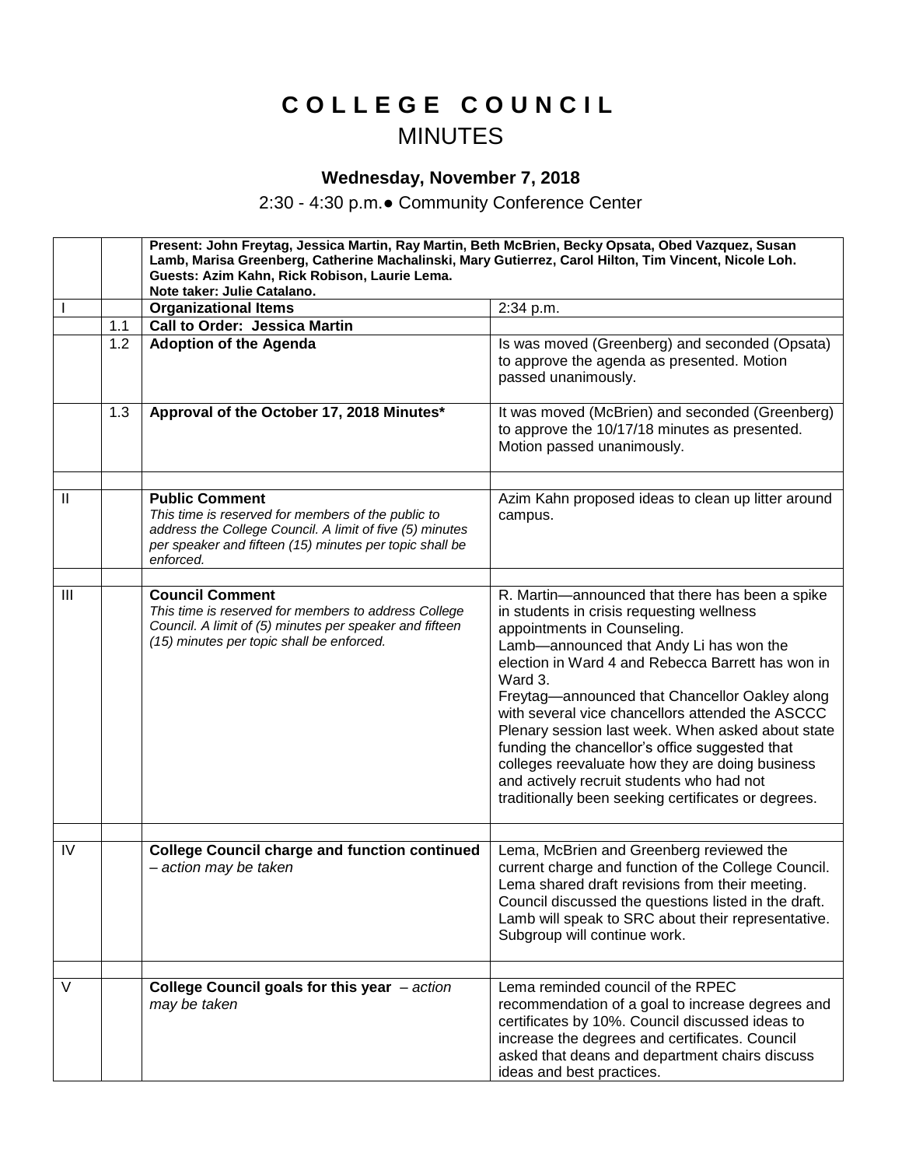## **C O L L E G E C O U N C I L** MINUTES

## **Wednesday, November 7, 2018**

2:30 - 4:30 p.m.● Community Conference Center

|                |     | Present: John Freytag, Jessica Martin, Ray Martin, Beth McBrien, Becky Opsata, Obed Vazquez, Susan<br>Lamb, Marisa Greenberg, Catherine Machalinski, Mary Gutierrez, Carol Hilton, Tim Vincent, Nicole Loh.<br>Guests: Azim Kahn, Rick Robison, Laurie Lema.<br>Note taker: Julie Catalano. |                                                                                                                                                                                                                                                                                                                                                                                                                                                                                                                                                                                                            |
|----------------|-----|---------------------------------------------------------------------------------------------------------------------------------------------------------------------------------------------------------------------------------------------------------------------------------------------|------------------------------------------------------------------------------------------------------------------------------------------------------------------------------------------------------------------------------------------------------------------------------------------------------------------------------------------------------------------------------------------------------------------------------------------------------------------------------------------------------------------------------------------------------------------------------------------------------------|
|                |     | <b>Organizational Items</b>                                                                                                                                                                                                                                                                 | 2:34 p.m.                                                                                                                                                                                                                                                                                                                                                                                                                                                                                                                                                                                                  |
|                | 1.1 | <b>Call to Order: Jessica Martin</b>                                                                                                                                                                                                                                                        |                                                                                                                                                                                                                                                                                                                                                                                                                                                                                                                                                                                                            |
|                | 1.2 | <b>Adoption of the Agenda</b>                                                                                                                                                                                                                                                               | Is was moved (Greenberg) and seconded (Opsata)<br>to approve the agenda as presented. Motion<br>passed unanimously.                                                                                                                                                                                                                                                                                                                                                                                                                                                                                        |
|                | 1.3 | Approval of the October 17, 2018 Minutes*                                                                                                                                                                                                                                                   | It was moved (McBrien) and seconded (Greenberg)<br>to approve the 10/17/18 minutes as presented.<br>Motion passed unanimously.                                                                                                                                                                                                                                                                                                                                                                                                                                                                             |
|                |     |                                                                                                                                                                                                                                                                                             |                                                                                                                                                                                                                                                                                                                                                                                                                                                                                                                                                                                                            |
| $\mathbf{I}$   |     | <b>Public Comment</b><br>This time is reserved for members of the public to<br>address the College Council. A limit of five (5) minutes<br>per speaker and fifteen (15) minutes per topic shall be<br>enforced.                                                                             | Azim Kahn proposed ideas to clean up litter around<br>campus.                                                                                                                                                                                                                                                                                                                                                                                                                                                                                                                                              |
|                |     |                                                                                                                                                                                                                                                                                             |                                                                                                                                                                                                                                                                                                                                                                                                                                                                                                                                                                                                            |
| $\mathbf{III}$ |     | <b>Council Comment</b><br>This time is reserved for members to address College<br>Council. A limit of (5) minutes per speaker and fifteen<br>(15) minutes per topic shall be enforced.                                                                                                      | R. Martin-announced that there has been a spike<br>in students in crisis requesting wellness<br>appointments in Counseling.<br>Lamb-announced that Andy Li has won the<br>election in Ward 4 and Rebecca Barrett has won in<br>Ward 3.<br>Freytag-announced that Chancellor Oakley along<br>with several vice chancellors attended the ASCCC<br>Plenary session last week. When asked about state<br>funding the chancellor's office suggested that<br>colleges reevaluate how they are doing business<br>and actively recruit students who had not<br>traditionally been seeking certificates or degrees. |
|                |     |                                                                                                                                                                                                                                                                                             |                                                                                                                                                                                                                                                                                                                                                                                                                                                                                                                                                                                                            |
| IV             |     | <b>College Council charge and function continued</b><br>- action may be taken                                                                                                                                                                                                               | Lema, McBrien and Greenberg reviewed the<br>current charge and function of the College Council.<br>Lema shared draft revisions from their meeting.<br>Council discussed the questions listed in the draft.<br>Lamb will speak to SRC about their representative.<br>Subgroup will continue work.                                                                                                                                                                                                                                                                                                           |
|                |     |                                                                                                                                                                                                                                                                                             |                                                                                                                                                                                                                                                                                                                                                                                                                                                                                                                                                                                                            |
| $\vee$         |     | College Council goals for this year - action<br>may be taken                                                                                                                                                                                                                                | Lema reminded council of the RPEC<br>recommendation of a goal to increase degrees and<br>certificates by 10%. Council discussed ideas to<br>increase the degrees and certificates. Council<br>asked that deans and department chairs discuss<br>ideas and best practices.                                                                                                                                                                                                                                                                                                                                  |